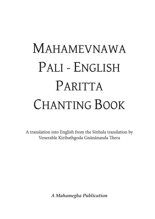# MAHAMEVNAWA PALI - ENGLISH PARITTA CHANTING BOOK

A translation into English from the Sinhala translation by Venerable Kiribathgoda Gnānānanda Thera

*A Mahamegha Publication*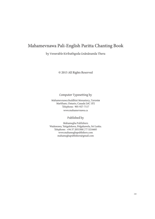### Mahamevnawa Pali-English Paritta Chanting Book

by Venerable Kiribathgoda Gnānānanda Thera

© 2015 All Rights Reserved

Computer Typesetting by

Mahamevnawa Buddhist Monastery, Toront**o** Markham, Ontario, Canada L6C 1P2 Telephone: 905-927-7117 www.mahamevnawa.ca

Published by

Mahamegha Publishers Waduwawa, Yatigaloluwa, Polgahawela, Sri Lanka. Telephone: +94 37 2053300 | 77 3216685 www.mahameghapublishers.com mahameghapublishers@gmail.com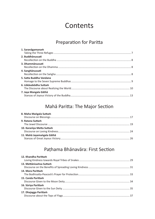# **Contents**

## Preparation for Paritta

| 1. Saranāgamanam        |
|-------------------------|
|                         |
| 2. Buddhānussati        |
|                         |
| 3. Dhammānussati        |
|                         |
| 4. Sanghānussati        |
|                         |
| 5. Satta Buddha Vandana |
|                         |
| 6. Lõkāvabōdha Suttam   |
|                         |
| 7. Jaya Mangala Gāthā   |
|                         |

## Mahā Paritta: The Major Section

| 8. Maha Mangala Suttam     |  |
|----------------------------|--|
|                            |  |
| 9. Ratana Suttam           |  |
|                            |  |
| 10. Karanīya Metta Suttam  |  |
|                            |  |
| 11. Mahā Jayamangala Gāthā |  |
|                            |  |

## Paṭhama Bhānavāra: First Section

| 12. Khandha Parittam    |  |
|-------------------------|--|
| 13. Mettānisamsa Suttam |  |
| 14. Mora Parittam       |  |
| 15. Canda Parittam      |  |
| 16. Sūriya Parittam     |  |
| 17. Dhajagga Parittam   |  |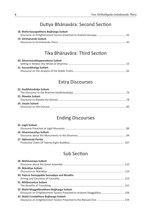## Dutiya Bhānavāra: Second Section

| 18. Mahā Kassapatthera Bojjhanga Suttam |  |
|-----------------------------------------|--|
|                                         |  |
| 19. Girimānanda Suttam                  |  |
| $-45$                                   |  |

## Tika Bhānavāra: Third Section

| 20. Dhammacakkappavattana Suttam |  |
|----------------------------------|--|
|                                  |  |
| 21. Saccavibhanga Suttam         |  |
|                                  |  |

## Extra Discourses

| 22. Kasībhāradvāja Suttam |  |
|---------------------------|--|
|                           |  |
| 23. Alavaka Suttam        |  |
|                           |  |
| 24. Vasala Suttam         |  |
|                           |  |
|                           |  |

## Ending Discourses

## Sub Section

| 28. Mahāsamaya Suttam                                                                                                |
|----------------------------------------------------------------------------------------------------------------------|
|                                                                                                                      |
| 29. Ātānātiya Suttam                                                                                                 |
| 30. Pațicca Samuppāda Samudayo and Nirodho                                                                           |
| 31. Mittānisamsa Suttam                                                                                              |
| 32. Mahā Moggallānatthera Bojjhaņga Suttam<br>Discourse on Enlightenment Factors Preached to Arahant Moggallana  156 |
| 33. Mahā Cundatthera Bojjhanga Suttam                                                                                |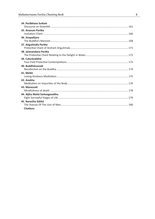| 34. Parābhava Suttam         |
|------------------------------|
|                              |
| 35. Anavum Paritta           |
|                              |
| 36. Jinapañjara              |
|                              |
| 37. Angulimāla Paritta       |
|                              |
| 38. Jalanandana Paritta      |
|                              |
| 39. Caturārakkhā             |
|                              |
| 40. Buddhānussati            |
|                              |
| 41. Mettā                    |
|                              |
| 42. Asubha                   |
|                              |
| 43. Maransati                |
|                              |
| 44. Attha Maha Samvegavatthu |
|                              |
| 45. Narasīha Gāthā           |
|                              |
| <b>Citations</b>             |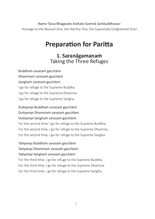Namo Tassa Bhagavato Arahato Sammā Sambuddhassa!

Homage to the Blessed One, the Worthy One, the Supremely Enlightened One!

# **Preparation for Paritta**

## **1. Saranāgamanaṁ** Taking the Three Refuges

Buddhaṁ saraṇaṁ gacchāmi Dhammaṁ saraṇaṁ gacchāmi Saṅghaṁ saraṇaṁ gacchāmi I go for refuge to the Supreme Buddha. I go for refuge to the Supreme Dhamma. I go for refuge to the Supreme Saṅgha.

Dutiyampi Buddhaṁ saraṇaṁ gacchāmi Dutiyampi Dhammaṁ saraṇaṁ gacchāmi Dutiyampi Saṅghaṁ saraṇaṁ gacchāmi For the second time, I go for refuge to the Supreme Buddha. For the second time, I go for refuge to the Supreme Dhamma. For the second time, I go for refuge to the Supreme Saṅgha.

Tatiyampi Buddhaṁ saraṇaṁ gacchāmi Tatiyampi Dhammaṁ saraṇaṁ gacchāmi Tatiyampi Saṅghaṁ saraṇaṁ gacchāmi For the third time, I go for refuge to the Supreme Buddha. For the third time, I go for refuge to the Supreme Dhamma. For the third time, I go for refuge to the Supreme Saṅgha.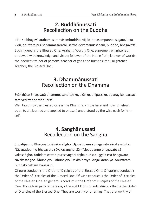## **2. Buddhānussati** Recollection on the Buddha

Iti'pi so bhagavā araham, sammāsambuddho, vijjācaranasampanno, sugato, lokavidū, anuttaro purisadammasārathi, satthā devamanussānaṁ, buddho, bhagavā'ti. Such indeed is the Blessed One: Arahant, Worthy One; supremely enlightened; endowed with knowledge and virtue; follower of the Noble Path; knower of worlds; the peerless trainer of persons; teacher of gods and humans; the Enlightened Teacher; the Blessed One.

## **3. Dhammānussati** Recollection on the Dhamma

Svākkhāto Bhagavatā dhammo, sandiṭṭhiko, akāliko, ehipassiko, opanayiko, paccattam vedittabbo viññūhī'ti.

Well taught by the Blessed One is the Dhamma, visible here and now, timeless, open to all, learned and applied to oneself, understood by the wise each for himself.

## **4. Sanghānussati** Recollection on the Saṅgha

Supatipanno Bhagavato sāvakasaṅgho. Ujupatipanno bhagavato sāvakasaṅgho. Ñāyapatipanno bhagavato sāvakasaṅgho. Sāmīcipatipanno bhagavato sāvakasaṅgho. Yadidaṁ cattāri purisayugāni aṭṭha purisapuggalā esa bhagavato sāvakasaṅgho. Āhuneyyo. Pāhuneyyo. Dakkhineyyo. Anjalikaranīyo. Anuttaraṁ puññakkhettaṁ lokassā'ti.

Of pure conduct is the Order of Disciples of the Blessed One. Of upright conduct is the Order of Disciples of the Blessed One. Of wise conduct is the Order of Disciples of the Blessed One. Of generous conduct is the Order of Disciples of the Blessed One. Those four pairs of persons,  $\bullet$  the eight kinds of individuals,  $\bullet$  that is the Order of Disciples of the Blessed One. They are worthy of offerings. They are worthy of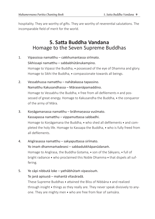hospitality. They are worthy of gifts. They are worthy of reverential salutations. The incomparable field of merit for the world.

## **5. Satta Buddha Vandana** Homage to the Seven Supreme Buddhas

- 1. Vipassissa namatthu cakkhumantassa sirīmato. Sikhissapi namatthu – sabbabhūtānukampino. Homage to Vipassi the Buddha,  $\bullet$  possessed of the eye of Dhamma and glory. Homage to Sikhi the Buddha,  $\bullet$  compassionate towards all beings.
- 2. Vessabhussa namatthu nahātakassa tapassino. Namatthu Kakusandhassa – Mārasenāpamaddino. Homage to Vessabhu the Buddha,  $\bullet$  free from all defilements  $\bullet$  and possessed of great energy. Homage to Kakusandha the Buddha,  $\bullet$  the conqueror of the army of Māra.
- 3. Koṇāgamanassa namatthu brāhmaṇassa vusīmato. Kassapassa namatthu – vippamuttassa sabbadhi. Homage to Konāgamana the Buddha,  $\bullet$  who shed all defilements  $\bullet$  and completed the holy life. Homage to Kassapa the Buddha,  $\bullet$  who is fully freed from all defilements.
- 4. Aṅgīrasassa namatthu sakyaputtassa sirīmato. Yo imaṁ dhammaṁadesesi – sabbadukkhāpanūdanaṁ. Homage to Angirasa, the Buddha Gotama,  $\bullet$  son of the Sākvans,  $\bullet$  full of bright radiance  $\bullet$  who proclaimed this Noble Dhamma  $\bullet$  that dispels all suffering.
- 5. Ye cāpi nibbutā loke yathābhūtaṁ vipassisuṁ.
	- Te janā apisuṇā mahantā vītasāradā.

These Supreme Buddhas  $\bullet$  attained the Bliss of Nibbana  $\bullet$  and realized through insight  $\bullet$  things as they really are. They never speak divisively to anyone. They are mighty men  $\bullet$  who are free from fear of samsara.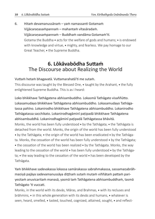6. Hitaṁ devamanussānaṁ – yaṁ namassanti Gotamaṁ Vijjācaraṇasaṁpannaṁ – mahantaṁ vītasāradaṁ. Vijjācaraṇasaṁpannaṁ – Buddhaṁ vandāma Gotamaṁ'ti. Gotama the Buddha  $\bullet$  acts for the welfare of gods and humans;  $\bullet$  is endowed with knowledge and virtue,  $\bullet$  mighty, and fearless. We pay homage to our Great Teacher, • the Supreme Buddha.

## **6. Lōkāvabōdha Suttaṁ** The Discourse about Realizing the World

Vuttaṁ hetaṁ bhagavatā. Vuttamarahatā'ti me sutaṁ.

This discourse was taught by the Blessed One,  $\bullet$  taught by the Arahant,  $\bullet$  the fully enlightened Supreme Buddha. This is as I heard:

Loko bhikkhave Tathāgatena abhisambuddho. Lokasmā Tathāgato visaññūtto. Lokasamudayo bhikkhave Tathāgatena abhisambuddho. Lokasamudayo Tathāgatassa pahīno. Lokanirodho bhikkhave Tathāgatena abhisambuddho. Lokanirodho Tathāgatassa sacchikato. Lokanirodhagāminī paṭipadā bhikkhave Tathāgatena abhisambuddhā. Lokanirodhagāminī paṭipadā Tathāgatassa bhāvitā. Monks, the world has been fully understood  $\bullet$  by the Tathagata;  $\bullet$  the Tathagata is detached from the world. Monks, the origin of the world has been fully understood  $\bullet$  by the Tathāgata;  $\bullet$  the origin of the world has been eradicated  $\bullet$  by the Tathāgata. Monks, the cessation of the world has been fully understood  $\bullet$  by the Tathāgata;  $\bullet$  the cessation of the world has been realized  $\bullet$  by the Tathagata. Monks, the way leading to the cessation of the world  $\bullet$  has been fully understood  $\bullet$  by the Tathāgata;  $\cdot$  the way leading to the cessation of the world  $\cdot$  has been developed by the Tathāgata.

Yaṁ bhikkhave sadevakassa lokassa samārakassa sabrahmakassa, sassamaṇabrāhmaṇiyā pajāya sadevamanussāya diṭṭhaṁ sutaṁ mutaṁ viññātaṁ pattaṁ pariyesitaṁ anuvicaritaṁ manasā, yasmā taṁ Tathāgatena abhisambuddhaṁ, tasmā Tathāgato 'ti vuccati.

Monks, in the world with its devās, Māras, and Brahmas,  $\bullet$  with its recluses and brāhmins,  $\bullet$  in this whole generation with its devās and humans,  $\bullet$  whatever is seen, heard, smelled,  $\bullet$  tasted, touched, cognized, attained, sought,  $\bullet$  and reflect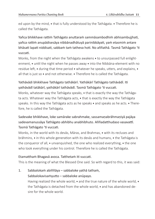ed upon by the mind,  $\bullet$  that is fully understood by the Tathagata.  $\bullet$  Therefore he is called the Tathāgata.

Yañca bhikkhave rattiṁ Tathāgato anuttaraṁ sammāsambodhiṁ abhisambujjhati, yañca rattiṁ anupādisesāya nibbānadhātuyā parinibbāyati, yaṁ etasmiṁ antare bhāsati lapati niddisati, sabbaṁ taṁ tatheva hoti. No aññathā. Tasmā Tathāgato 'ti vuccati.

Monks, from the night when the Tathagata awakens  $\bullet$  to unsurpassed full enlightenment,  $\bullet$  until the night when he passes away  $\bullet$  into the Nibbana-element with no residue left,  $\bullet$  during that time period  $\bullet$  whatever he speaks, utters, and explains,  $\bullet$ all that is just so  $\ast$  and not otherwise.  $\ast$  Therefore he is called the Tathāgata.

#### Yathāvādi bhikkhave Tathāgato tathākārī. Yathākārī Tathāgato tathāvādī. Iti yathāvādī tatākārī, yathākārī tathāvādī. Tasmā Tathāgato 'ti vuccati.

Monks, whatever way the Tathāgata speaks,  $\bullet$  that is exactly the way the Tathāgata acts. Whatever way the Tathāgata acts, that is exactly the way the Tathāgata speaks. In this way the Tathāgata acts as he speaks  $\bullet$  and speaks as he acts.  $\bullet$  Therefore, he is called the Tathāgata.

#### Sadevake bhikkhave, loke samārake sabrahmake, sassamaṇabrāhmaṇiyā pajāya sadevamanussāya Tathāgato abhibhu anabhibhuto. Aññadatthudaso vasavattī. Tasmā Tathāgato 'ti vuccati.

Monks, in the world with its devās, Māras, and Brahmas,  $\bullet$  with its recluses and brāhmins,  $\bullet$  in this whole generation with its devās and humans,  $\bullet$  the Tathāgata is the conqueror of all,  $\bullet$  unvanquished, the one who realized everything,  $\bullet$  the one who took everything under his control. Therefore he is called the Tathāgata.

#### Etamatthaṁ Bhagavā avoca. Tatthetaṁ iti vuccati.

This is the meaning of what the Blessed One said. So with regard to this, it was said:

#### 1. Sabbalokaṁ abiññāya – sabbaloke yathā tathaṁ,

#### Sabbalokavisaṁyutto – sabbaloke anūpayo.

Having realized the whole world,  $\bullet$  and the true nature of the whole world,  $\bullet$ the Tathāgata is detached from the whole world,  $\bullet$  and has abandoned desire for the whole world.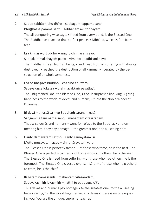- 2. Sabbe sabbābhibhu dhīro sabbaganthappamocano, Phuṭṭhassa paramā santi – Nibbānaṁ akutobhayaṁ. The all-conquering wise sage, freed from every bond, is the Blessed One. The Buddha has reached that perfect peace,  $\bullet$  Nibbana, which is free from fear.
- 3. Esa khīṇāsavo Buddho anīgho chinnasaṁsayo, Sabbakammakkhayaṁ patto – vimutto upadhisaṅkhayo. The Buddha is freed from all taints,  $\bullet$  and freed from all suffering with doubts destroyed,  $\bullet$  reached the destruction of all Kamma,  $\bullet$  liberated by the destruction of unwholesomeness.
- 4. Esa so bhagavā Buddho esa sīho anuttaro, Sadevakassa lokassa – brahmacakkaṁ pavattayī. The Enlightened One, the Blessed One,  $\bullet$  the unsurpassed lion-king,  $\bullet$  giving happiness to the world of devās and humans,  $\bullet$  turns the Noble Wheel of Dhamma.
- 5. Iti devā manussā ca ye Buddhaṁ saraṇaṁ gatā, Saṅgamma taṁ namassanti – mahantaṁ vītasāradaṁ. Thus wise devās and humans  $\bullet$  went for refuge to the Buddha,  $\bullet$  and on meeting him, they pay homage:  $\bullet$  the greatest one, the all-seeing hero.
- 6. Danto damayataṁ seṭṭho santo samayataṁ isi,

#### Mutto mocayataṁ aggo – tiṇṇo tārayataṁ varo.

The Blessed One is perfectly tamed:  $\bullet$  of those who tame, he is the best. The Blessed One is perfectly calmed:  $\bullet$  of those who calm others, he is the seer. The Blessed One is freed from suffering:  $\bullet$  of those who free others, he is the foremost. The Blessed One crossed over samsara:  $\bullet$  of those who help others to cross, he is the chief.

7. Iti hetaṁ namassanti – mahantaṁ vītasāradaṁ,

#### Sadevakasmiṁ lokasmiṁ – natthi te paṭipuggalo'ti.

Thus devās and humans pay homage  $\bullet$  to the greatest one, to the all-seeing hero  $\bullet$  saying, "In the world together with its devās  $\bullet$  there is no one equaling you. You are the unique, supreme teacher."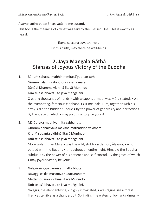Ayampi attho vutto Bhagavatā. Iti me sutanti.

This too is the meaning of  $\bullet$  what was said by the Blessed One. This is exactly as I heard.

Etena saccena suvatthi hotu!

By this truth, may there be well-being!

## **7. Jaya Mangala Gāthā** Stanzas of Joyous Victory of the Buddha

1. Bāhuṁ sahassa mabhinimmitasā'yudhan taṁ Girimekhalaṁ udita ghora sasena māraṁ Dānādi Dhamma vidhinā jitavā Munindo Taṁ tejasā bhavatu te jaya maṅgalāni.

> Creating thousands of hands  $\bullet$  with weapons armed, was Māra seated,  $\bullet$  on the trumpeting, ferocious elephant, Girimekhala. Him, together with his army,  $\bullet$  did the Buddha subdue  $\bullet$  by the power of generosity and perfections. By the grace of which  $\bullet$  may joyous victory be yours!

2. Mārātireka mabhiyujjhita sabba rattiṁ Ghoraṁ panālavaka makkha mathaddha yakkhaṁ Khantī sudanta vidhinā jitavā Munindo Taṁ tejasā bhavatu te jaya maṅgalāni.

> More violent than Māra  $\bullet$  was the wild, stubborn demon, Alavaka,  $\bullet$  who battled with the Buddha  $\bullet$  throughout an entire night. Him, did the Buddha subdue  $\bullet$  by the power of his patience and self-control. By the grace of which may joyous victory be yours!

3. Nālāgiriṁ gaja varaṁ atimatta bhūtaṁ Dāvaggi cakka masanīva sudāruṇantaṁ Mettambuseka vidhinā jitavā Munindo Taṁ tejasā bhavatu te jaya maṅgalāni. Nālāgiri, the elephant-king,  $\bullet$  highly intoxicated,  $\bullet$  was raging like a forest fire,  $\bullet$  as terrible as a thunderbolt. Sprinkling the waters of loving kindness,  $\bullet$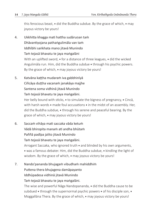this ferocious beast,  $\bullet$  did the Buddha subdue. By the grace of which,  $\bullet$  may joyous victory be yours!

- 4. Ukkhitta khagga mati hattha sudāruṇan taṁ Dhāvantiyojana pathaṅgulimāla van taṁ Iddhībhi saṅkhata mano jitavā Munindo Taṁ tejasā bhavatu te jaya maṅgalāni With an uplifted sword,  $\bullet$  for a distance of three leagues,  $\bullet$  did the wicked Angulimāla run. Him, did the Buddha subdue through his psychic powers. By the grace of which,  $\bullet$  may joyous victory be yours!
- 5. Katvāna kattha mudaram iva gabbhinīyā Ciñcāya duṭṭha vacanaṁ janakāya majjhe Santena soma vidhinā jitavā Munindo Taṁ tejasā bhavatu te jaya maṅgalāni.

Her belly bound with sticks,  $\bullet$  to simulate the bigness of pregnancy,  $\bullet$  Cinca, with harsh words  $\bullet$  made foul accusations  $\bullet$  in the midst of an assembly. Her, did the Buddha subdue, through his serene and peaceful bearing. By the grace of which,  $\bullet$  may joyous victory be yours!

6. Saccaṁ vihāya mati saccaka vāda ketuṁ Vādā bhiropita manaṁ ati andha bhūtaṁ Paññā padīpa jalito jitavā Munindo Taṁ tejasā bhavatu te jaya maṅgalāni. Arrogant Saccaka, who ignored truth  $\bullet$  and blinded by his own arguments, was a famous debater. Him, did the Buddha subdue, kindling the light of wisdom. By the grace of which,  $\bullet$  may joyous victory be yours!

7. Nando'pananda bhujagaṁ vibudhaṁ mahiddhiṁ

Puttena thera bhujagena damāpayanto

Iddhūpadesa vidhinā jitavā Munindo

Taṁ tejasā bhavatu te jaya maṅgalāni.

The wise and powerful Nāga Nandopananda, • did the Buddha cause to be subdued  $\bullet$  through the supernormal psychic powers  $\bullet$  of his disciple son,  $\bullet$ Moggallāna Thera. By the grace of which,  $\bullet$  may joyous victory be yours!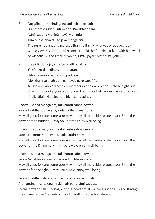- 8. Duggāha ditthi bhujagena sudattha hattham Brahmaṁ visuddhi juti middhi Bakābhidānaṁ Ñānā gadena vidhinā jitavā Munindo Taṁ tejasā bhavatu te jaya maṅgalāni. The pure, radiant and majestic Brahma Baka  $\bullet$  who was once caught by wrong view,  $\bullet$  stubborn with conceit,  $\bullet$  did the Buddha strike  $\bullet$  with his sword of wisdom. By the grace of which, may joyous victory be yours!
- 9. Etā'pi Buddha jaya maṅgala aṭṭha gāthā Yo vācako dina dine sarate matandi Hitvāna neka vividhāni c'upaddavāni Mokkhaṁ sukhaṁ adhi gameyya naro sapañño. A wise one who earnestly remembers  $\bullet$  and daily recites  $\bullet$  these eight Buddha-stanzas  $\bullet$  of joyous victory,  $\bullet$  will rid himself of various misfortunes  $\bullet$  and finally attain Nibbāna, the highest happiness.

#### Bhavatu sabba maṅgalaṁ, rakkhantu sabba devatā

#### Sabba Buddhānubhāvena, sadā sotthi bhavantu te.

May all good fortune come your way,  $\bullet$  may all the deities protect you. By all the power of the Buddha,  $\bullet$  may you always enjoy well-being!

#### Bhavatu sabba maṅgalaṁ, rakkhantu sabba devatā

#### Sabba Dhammānubhāvena, sadā sotthi bhavantu te.

May all good fortune come your way,  $\bullet$  may all the deities protect you. By all the power of the Dhamma,  $\bullet$  may you always enjoy well-being!

#### Bhavatu sabba maṅgalaṁ, rakkhantu sabba devatā

#### Sabba Saṅghānubhāvena, sadā sotthi bhavantu te.

May all good fortune come your way,  $\bullet$  may all the deities protect you. By all the power of the Saṅgha, • may you always enjoy well-being!

#### Sabbe Buddhā balappattā – paccekānañca yaṁ balaṁ

#### Arahantānaṁ ca tejena – rakkhaṁ bandhāmi sabbaso

By the power of all Buddhas,  $\bullet$  by the power of all Pacceka Buddhas,  $\bullet$  and through the virtues of the Arahants,  $\bullet$  I bind myself in protection always.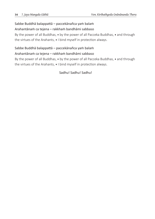#### Sabbe Buddhā balappattā – paccekānañca yaṁ balaṁ

#### Arahantānaṁ ca tejena – rakkhaṁ bandhāmi sabbaso

By the power of all Buddhas,  $\bullet$  by the power of all Pacceka Buddhas,  $\bullet$  and through the virtues of the Arahants,  $\bullet$  I bind myself in protection always.

#### Sabbe Buddhā balappattā – paccekānañca yaṁ balaṁ

#### Arahantānaṁ ca tejena – rakkhaṁ bandhāmi sabbaso

By the power of all Buddhas,  $\bullet$  by the power of all Pacceka Buddhas,  $\bullet$  and through the virtues of the Arahants,  $\bullet$  I bind myself in protection always.

#### Sadhu! Sadhu! Sadhu!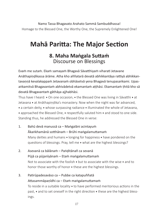Namo Tassa Bhagavato Arahato Sammā Sambuddhassa! Homage to the Blessed One, the Worthy One, the Supremely Enlightened One!

# **Mahā Paritta: The Major Section**

## **8. Maha Maṅgala Suttaṁ** Discourse on Blessings

Evaṁ me sutaṁ. Ekaṁ samayaṁ Bhagavā Sāvatthiyaṁ viharati Jetavane Anāthapiṇḍikassa ārāme. Atha kho aññatarā devatā abhikkantāya rattiyā abhikkantavaṇṇā kevalakappaṁ Jetavanaṁ obhāsetvā yena Bhagavā tenupasaṅkami. Upasaṅkamitvā Bhagavantaṁ abhivādetvā ekamantaṁ aṭṭhāsi. Ekamantaṁ ṭhitā kho sā devatā Bhagavantaṁ gāthāya ajjhabhāsi.

Thus have I heard:  $\bullet$  On one occasion,  $\bullet$  the Blessed One was living in Sāvatthi  $\bullet$  at Jetavana • at Anāthapiṇḍika's monastery. Now when the night was far advanced,  $\bullet$  a certain deity,  $\bullet$  whose surpassing radiance  $\bullet$  illuminated the whole of Jetavana, • approached the Blessed One, • respectfully saluted him • and stood to one side. Standing thus, he addressed the Blessed One in verse:

- 1. Bahū devā manussā ca Maṅgalāni acintayuṁ Ākaṅkhamānā sotthānaṁ – Brūhi maṅgalamuttamaṁ Many deities and humans  $\bullet$  longing for happiness  $\bullet$  have pondered on the questions of blessings. Pray, tell me • what are the highest blessings?
- 2. Asevanā ca bālānaṁ Paṅḍitānañ ca sevanā Pūjā ca pūjanīyānaṁ – Etaṁ maṅgalamuttamaṁ Not to associate with the foolish  $\bullet$  but to associate with the wise  $\bullet$  and to honor those worthy of honor  $\bullet$  these are the highest blessings.
- 3. Patirūpadesavāso ca Pubbe ca katapuññatā Attasammāpaṇīdhi ca – Etaṁ maṅgalamuttamaṁ To reside in a suitable locality  $\bullet$  to have performed meritorious actions in the past,  $\bullet$  and to set oneself in the right direction  $\bullet$  these are the highest blessings.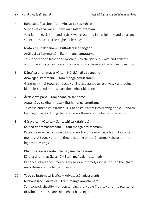- 4. Bāhusaccañca sippañca Vinayo ca susikkhito Subhāsitā ca yā vācā – Etaṁ maṅgalamuttamaṁ Vast learning, skill in handicraft,  $\bullet$  well grounded in discipline  $\bullet$  and pleasant speech  $\bullet$  these are the highest blessings.
- 5. Mātāpitū upaṭṭhānaṁ Puttadārassa saṅgaho Anākulā ca kammantā – Etaṁ maṅgalamuttamaṁ To support one's father and mother,  $\bullet$  to cherish one's wife and children,  $\bullet$ and to be engaged in peaceful occupations  $\bullet$  these are the highest blessings.
- 6. Dānañca dhammacariyā ca Ñātakānañ ca saṅgaho Anavajjāni kammāni – Etaṁ maṅgalamuttamaṁ Generosity, righteous conduct,  $\bullet$  giving assistance to relatives,  $\bullet$  and doing blameless deeds  $\bullet$  these are the highest blessings.
- 7. Ārati virati pāpā Majjapānā ca saññamo Appamādo ca dhammesu – Etaṁ maṅgalamuttamaṁ To cease and abstain from evil,  $\bullet$  to abstain from intoxicating drinks,  $\bullet$  and to be diligent in practising the Dhamma  $\bullet$  these are the highest blessings.
- 8. Gāravo ca nivāto ca Santutthī ca kataññutā Kālena dhammasavanaṁ – Etaṁ maṅgalamuttamaṁ Paying reverence to those who are worthy of reverence, • humility, contentment, gratitude,  $\bullet$  and the timely hearing of the Dhamma  $\bullet$  these are the highest blessings.
- 9. Khantī ca sovacassatā Samaṇānañca dassanaṁ Kālena dhammasākacchā – Etaṁ maṅgalamuttamaṁ Patience, obedience, meeting monks  $\bullet$  and timely discussions on the Dham $ma \cdot$  these are the highest blessings.
- 10. Tapo ca brahmacariyañca Ariyasaccānadassanaṁ Nibbāṇasacchikiriyā ca – Etam maṅgalamuttamaṁ Self-control, chastity,  $\bullet$  understanding the Noble Truths,  $\bullet$  and the realization of Nibbāna  $\bullet$  these are the highest blessings.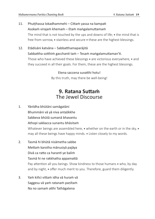## 11. Phuṭṭhassa lokadhammehi – Cittaṁ yassa na kampati Asokaṁ virajaṁ khemaṁ – Etaṁ maṅgalamuttamaṁ The mind that is not touched by the ups and downs of life;  $\bullet$  the mind that is free from sorrow,  $\bullet$  stainless and secure  $\bullet$  these are the highest blessings.

12. Etādisāni katvāna – Sabbatthamaparājitā Sabbattha sotthiṁ gacchanti taṁ – Tesaṁ maṅgalamuttaman'ti. Those who have achieved these blessings  $\bullet$  are victorious everywhere,  $\bullet$  and they succeed in all their goals. For them, these are the highest blessings.

> Etena saccena suvatthi hotu! By this truth, may there be well-being!

## **9. Ratana Suttaṁ** The Jewel Discourse

- 1. Yānīdha bhūtāni samāgatāni Bhummāni vā yā niva antaḷikkhe Sabbeva bhūtā sumanā bhavantu Athopi sakkacca sunantu bhāsitaṁ Whatever beings are assembled here,  $\bullet$  whether on the earth or in the sky,  $\bullet$ may all these beings have happy minds. Listen closely to my words.
- 2. Tasmā hi bhūtā nisāmetha sabbe Mettaṁ karotha mānusiyā pajāya Divā ca ratto ca haranti ye baliṁ Tasmā hi ne rakkhatha appamattā Pay attention all you beings. Show kindness to those humans  $\bullet$  who, by day and by night,  $\bullet$  offer much merit to you. Therefore, guard them diligently.
- 3. Yaṁ kiñci vittaṁ idha vā huraṁ vā Saggesu vā yaṁ ratanaṁ paṇītaṁ Na no samaṁ atthi Tathāgatena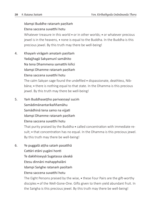#### Idampi Buddhe ratanaṁ paṇītaṁ Etena saccena suvatthi hotu

Whatever treasure in this world  $\bullet$  or in other worlds;  $\bullet$  or whatever precious jewel is in the heavens,  $\bullet$  none is equal to the Buddha. In the Buddha is this precious jewel. By this truth may there be well-being!

4. Khayaṁ virāgaṁ amataṁ paṇītaṁ Yadajjhagā Sakyamunī samāhito Na tena Dhammena samatthi kiñci Idampi Dhamme ratanaṁ paṇītaṁ Etena saccena suvatthi hotu

> The calm Sakyan sage found the undefiled  $\bullet$  dispassionate, deathless, Nibbāna; • there is nothing equal to that state. In the Dhamma is this precious jewel. By this truth may there be well-being!

5. Yaṁ Buddhaseṭṭho parivaṇṇayī suciṁ Samādimānantarikaññamāhu Samādhinā tena samo na vijjati Idampi Dhamme ratanaṁ paṇītaṁ Etena saccena suvatthi hotu

> That purity praised by the Buddha  $\bullet$  called concentration with immediate result;  $\bullet$  that concentration has no equal. In the Dhamma is this precious jewel. By this truth may there be well-being!

6. Ye puggalā aṭṭha sataṁ pasatthā

Cattāri etāni yugāni honti

Te dakkhiṇeyyā Sugatassa sāvakā

Etesu dinnāni mahapphalāni

Idampi Saṅghe ratanaṁ paṇītaṁ

Etena saccena suvatthi hotu

The Eight Persons praised by the wise,  $\bullet$  these Four Pairs are the gift-worthy disciples • of the Well-Gone-One. Gifts given to them yield abundant fruit. In the Saṅgha is this precious jewel. By this truth may there be well-being!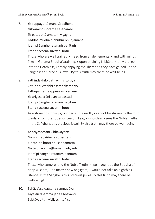- 7. Ye suppayuttā manasā daḷhena Nikkāmino Gotama sāsanamhi Te pattipattā amataṁ vigayha Laddhā mudhā nibbutiṁ bhuñjamānā Idampi Saṅghe ratanaṁ paṇītaṁ Etena saccena suvatthi hotu Those who are well trained,  $\bullet$  freed from all defilements,  $\bullet$  and with minds firm in Gotama Buddha'straining,  $\bullet$  upon attaining Nibbana,  $\bullet$  they plunge into the Deathless, freely enjoying the liberation they have gained. In the Saṅgha is this precious jewel. By this truth may there be well-being!
- 8. Yathindakhīlo paṭhaviṁ sito siyā Catubbhi vātebhi asampakampiyo Tathūpamaṁ sappurisaṁ vadāmi Yo ariyasaccāni avecca passati Idampi Saṅghe ratanaṁ paṇītaṁ Etena saccena suvatthi hotu

As a stone post firmly grounded in the earth,  $\bullet$  cannot be shaken by the four winds,  $\bullet$  so is the superior person, I say,  $\bullet$  who clearly sees the Noble Truths. In the Saṅgha is this precious jewel. By this truth may there be well-being!

- 9. Ye ariyasaccāni vibhāvayanti Gambhīrapaññena sudesitāni Kiñcāpi te honti bhusappamattā Na te bhavam atthamam ādiyanti Idam'pi Saṅghe ratanaṁ paṇītaṁ Etena saccena suvatthi hotu Those who comprehend the Noble Truths,  $\bullet$  well taught by the Buddha of deep wisdom,  $\bullet$  no matter how negligent,  $\bullet$  would not take an eighth existence. In the Saṅgha is this precious jewel. By this truth may there be well-being!
- 10. Sahāva'ssa dassana sampadāya Tayassu dhammā jahitā bhavanti Sakkāyadiṭṭhi vicikicchitañ ca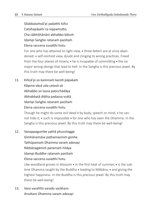Sīlabbataṁvā'pi yadatthi kiñci

Catūhapāyehi ca vippamutto,

Cha cābhiṭhānāni abhabbo kātuṁ

Idampi Saṅghe ratanaṁ paṇītaṁ

Etena saccena suvatthi hotu

For one who has attained to right view,  $\bullet$  three fetters are at once abandoned: • self-centred view, doubt and clinging to wrong practices. Freed from the four planes of misery,  $\bullet$  he is incapable of committing  $\bullet$  the six major wrong-doings that lead to hell. In the Saṅgha is this precious jewel. By this truth may there be well-being!

- 11. Kiñcā'pi so kammaṁ karoti pāpakaṁ Kāyena vācā uda cetasā vā Abhabbo so tassa paṭicchādāya Abhabbatā diṭṭha padassa vuttā Idampi Saṅghe ratanaṁ paṇītaṁ
	- Etena saccena suvatthi hotu

Though he might do some evil deed  $\bullet$  by body, speech or mind,  $\bullet$  he cannot hide it;  $\cdot$  such is impossible  $\cdot$  for one who has seen the Dhamma. In the Saṅgha is this precious jewel. By this truth may there be well-being!

- 12. Vanappagumbe yathā phussitagge Gimhānamāse paṭhamasmiṁ gimhe Tathūpamaṁ Dhamma varaṁ adesayi Nibbāṇagāmiṁ paramaṁ hitāya Idampi Buddhe ratanaṁ paṇītaṁ Etena saccena suvatthi hotu Like woodland groves in blossom  $\bullet$  in the first heat of summer,  $\bullet$  is the sublime Dhamma taught by the Buddha  $\bullet$  leading to Nibbana,  $\bullet$  and giving the highest happiness. In the Buddha is this precious jewel. By this truth may there be well-being!
- 13. Varo varaññū varado varāharo Anuttaro Dhamma varaṁ adesayi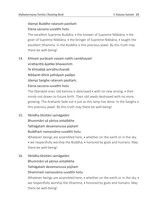#### Idampi Buddhe ratanaṁ paṇītaṁ Etena saccena suvatthi hotu

The excellent Supreme Buddha,  $\bullet$  the knower of Supreme Nibbana,  $\bullet$  the giver of Supreme Nibbāna,  $\bullet$  the bringer of Supreme Nibbāna,  $\bullet$  taught the excellent Dhamma. In the Buddha is this precious jewel. By this truth may there be well-being!

14. Khīṇaṁ purāṇaṁ navaṁ natthi sambhavaṁ

virattacittā āyatike bhavasmiṁ

Te khīṇabījā avirūḷhicchandā

Nibbanti dhīrā yathāyaṁ padīpo

Idampi Saṅghe ratanaṁ paṇītaṁ,

#### Etena saccena suvatthi hotu

The liberated ones 'old kamma is destroved  $\bullet$  with no new arising,  $\bullet$  their minds not drawn to future birth. Their old seeds destroyed with no more growing. The Arahants fade out  $\bullet$  just as this lamp has done. In the Saṅgha is this precious jewel. By this truth may there be well-being!

15. Yānīdha bhūtāni samāgatāni

Bhummāni vā yāniva antaḷikkhe

Tathāgataṁ devamanussa pūjitaṁ

#### Buddhaṁ namassāma suvatthi hotu

Whatever beings are assembled here,  $\bullet$  whether on the earth or in the sky,  $\bullet$  we respectfully worship the Buddha,  $\bullet$  honored by gods and humans. May there be well-being!

16. Yānīdha bhūtāni samāgatāni Bhummāni vā yāniva antaḷikkhe

Tathāgataṁ devamanussa pūjitaṁ

#### Dhammaṁ namassāma suvatthi hotu

Whatever beings are assembled here,  $\bullet$  whether on the earth or in the sky,  $\bullet$ we respectfully worship the Dhamma,  $\bullet$  honored by gods and humans. May there be well-being!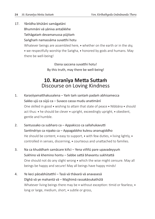17. Yānīdha bhūtāni samāgatāni Bhummāni vā yāniva antaḷikkhe Tathāgataṁ devamanussa pūjitaṁ Saṅghaṁ namassāma suvatthi hotu Whatever beings are assembled here,  $\bullet$  whether on the earth or in the sky,  $\bullet$  we respectfully worship the Saṅgha,  $\bullet$  honored by gods and humans. May there be well-being!

> Etena saccena suvatthi hotu! By this truth, may there be well-being!

## **10. Karanīya Metta Suttaṁ** Discourse on Loving Kindness

- 1. Karaṇīyamatthakusalena Yaṁ taṁ santaṁ padaṁ abhisamecca Sakko ujū ca sūjū ca – Suvaco cassa mudu anatimānī One skilled in good  $\bullet$  wishing to attain that state of peace  $\bullet$  Nibbana  $\bullet$  should act thus:  $\bullet$  he should be clever  $\bullet$  upright, exceedingly upright,  $\bullet$  obedient, gentle and humble.
- 2. Santussako ca subharo ca Appakicco ca sallahukavutti Santindriyo ca nipako ca – Appagabbho kulesu ananugiddho He should be content,  $\bullet$  easy to support,  $\bullet$  with few duties,  $\bullet$  living lightly,  $\bullet$ controlled in senses, discerning,  $\bullet$  courteous and unattached to families.
- 3. Na ca khuddhaṁ samācare kiñci Yena viññū pare upavadeyyuṁ Sukhino vā khemino hontu – Sabbe sattā bhavantu sukhitattā One should not do any slight wrong  $\bullet$  which the wise might censure. May all beings be happy and secure! May all beings have happy minds!
- 4. Ye keci pāṇabhūtatthī Tasā vā thāvarā vā anavasesā Dīghā vā ye mahantā vā – Majjhimā rassakāṇukathūlā Whatever living beings there may be  $\bullet$  without exception: timid or fearless:  $\bullet$ long or large, medium, short,  $\bullet$  subtle or gross,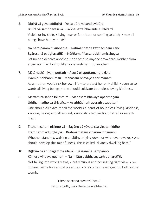- 5. Diṭṭhā vā yeva addiṭṭhā Ye ca dūre vasanti avidūre Bhūtā vā sambhavesī vā – Sabbe sattā bhavantu sukhitattā Visible or invisible,  $\bullet$  living near or far,  $\bullet$  born or coming to birth,  $\bullet$  may all beings have happy minds!
- 6. Na paro paraṁ nikubbetha Nātimaññetha katthaci naṁ kanci Byārosanā paṭighasaññā – Nāññamaññassa dukkhamiccheyya Let no one deceive another,  $\bullet$  nor despise anyone anywhere. Neither from anger nor ill will  $\bullet$  should anyone wish harm to another.
- 7. Mātā yathā niyaṁ puttaṁ Āyusā ekaputtamanurakkhe Evam'pi sabbabhūtesu – Mānasaṁ bhāvaye aparimāṇaṁ As a mother would risk her own life  $\bullet$  to protect her only child,  $\bullet$  even so towards all living beings,  $\bullet$  one should cultivate boundless loving-kindness.
- 8. Mettaṁ ca sabba lokasmiṁ Mānasaṁ bhāvaye aparimāṇaṁ Uddhaṁ adho ca tiriyañca – Asaṁbādhaṁ averaṁ asapattaṁ One should cultivate for all the world  $\ast$  a heart of boundless loving-kindness, • above, below, and all around, • unobstructed, without hatred or resentment.
- 9. Tiṭṭhaṁ caraṁ nisinno vā Sayāno vā yāvata'ssa vigatamiddho Etaṁ satiṁ adhiṭṭheyya – Brahmametaṁ vihāraṁ idhamāhu Whether standing, walking or sitting,  $\bullet$  lying down or whenever awake,  $\bullet$  one should develop this mindfulness. This is called "divinely dwelling here."
- 10. Diṭṭhiṁ ca anupagamma sīlavā Dassanena sampanno Kāmesu vineyya gedhaṁ – Na hi jātu gabbhaseyyaṁ punaretī'ti. Not falling into wrong views,  $\bullet$  but virtuous and possessing right view,  $\bullet$  removing desire for sensual pleasures,  $\bullet$  one comes never again to birth in the womb.

Etena saccena suvatthi hotu! By this truth, may there be well-being!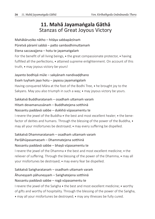## **11. Mahā Jayamaṅgala Gāthā** Stanzas of Great Joyous Victory

Mahākāruṇiko nātho – hitāya sabbapāṇīnaṁ Pūretvā pāramī sabbā – patto sambodhimuttamaṁ Etena saccavajjena – hotu te jayamaṅgalaṁ For the benefit of all living beings,  $\bullet$  the great compassionate protector,  $\bullet$  having fulfilled all the perfections,  $\bullet$  attained supreme enlightenment. On account of this truth,  $\bullet$  may joyous victory be yours!

Jayanto bodhiyā mūle – sakyānaṁ nandivaḍḍhano Evaṁ tuyhaṁ jayo hotu – jayassu jayamaṅgalaṁ Having conquered Māra at the foot of the Bodhi Tree,  $\bullet$  he brought joy to the Sakyans. May you also triumph in such a way;  $\bullet$  may joyous victory be yours.

#### Sakkatvā Buddharatanaṁ – osadhaṁ uttamaṁ varaṁ

#### Hitaṁ devamanussānaṁ – Buddhatejena sotthinā

#### Nassantu paddavā sabbe – dukkhā vūpasamentu te

I revere the jewel of the Buddha  $\bullet$  the best and most excellent healer;  $\bullet$  the benefactor of deities and humans. Through the blessing of the power of the Buddha,  $\bullet$ may all your misfortunes be destroyed;  $\bullet$  may every suffering be dispelled.

#### Sakkatvā Dhammaratanaṁ – osadhaṁ uttamaṁ varaṁ

#### Pariḷāhūpasamaṇaṁ – Dhammatejena sotthinā

#### Nassantu paddavā sabbe – bhayā vūpasamentu te

I revere the jewel of the Dhamma  $\bullet$  the best and most excellent medicine;  $\bullet$  the reliever of suffering. Through the blessing of the power of the Dhamma,  $\bullet$  may all your misfortunes be destroyed;  $\bullet$  may every fear be dispelled.

#### Sakkatvā Saṅgharatanaṁ – osadhaṁ uttamaṁ varaṁ

#### Āhuneyyaṁ pāhuneyyaṁ – Saṅghatejena sotthinā Nassantu paddavā sabbe – rogā vūpasamentu te

I revere the jewel of the Saṅgha  $\bullet$  the best and most excellent medicine;  $\bullet$  worthy of gifts and worthy of hospitality. Through the blessing of the power of the Saṅgha,

may all your misfortunes be destroyed; may any illnesses be fully cured.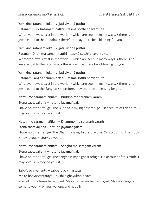#### Yaṁ kiṇci ratanaṁ loke – vijjati vividhā puthu

#### Ratanaṁ Buddhasamaṁ natthi – tasmā sotthi bhavantu te.

Whatever jewels exist in the world,  $\bullet$  which are seen in many ways,  $\bullet$  there is no jewel equal to the Buddha; therefore, may there be a blessing for you.

#### Yaṁ kiṇci ratanaṁ loke – vijjati vividhā puthu

#### Ratanaṁ Dhamma samaṁ natthi – tasmā sotthi bhavantu te.

Whatever jewels exist in the world,  $\bullet$  which are seen in many ways,  $\bullet$  there is no jewel equal to the Dhamma;  $\bullet$  therefore, may there be a blessing for you.

#### Yaṁ kiṇci ratanaṁ loke – vijjati vividhā puthu

#### Ratanaṁ Saṅgha samaṁ natthi – tasmā sotthi bhavantu te.

Whatever jewels exist in the world,  $\bullet$  which are seen in many ways,  $\bullet$  there is no jewel equal to the Saṅgha; • therefore, may there be a blessing for you.

#### Natthi me saraṇaṁ aññaṁ – Buddho me saraṇaṁ varaṁ

#### Etena saccavajjena – hotu te jayamaṅgalaṁ.

I have no other refuge. The Buddha is my highest refuge. On account of this truth,  $\bullet$ may joyous victory be yours!

#### Natthi me saraṇaṁ aññaṁ – Dhammo me saraṇaṁ varaṁ

#### Etena saccavajjena – hotu te jayamaṅgalaṁ.

I have no other refuge. The Dhamma is my highest refuge. On account of this truth, • may joyous victory be yours!

#### Natthi me saraṇaṁ aññaṁ – Sangho me saraṇaṁ varaṁ

#### Etena saccavajjena – hotu te jayamaṅgalaṁ.

I have no other refuge. The Saṅgha is my highest refuge. On account of this truth,  $\bullet$ may joyous victory be yours!

#### Sabbītiyo vivajjantu – sabbarogo vinassatu

#### Mā te bhavatvantarāyo – sukhī dīghāyukho bhava.

May all misfortunes be avoided. May all illnesses be destroyed. May no dangers come to you. May you live long and happily!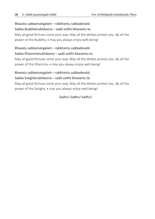#### Bhavatu sabbamaṅgalaṁ – rakkhantu sabbadevatā

Sabba Buddhānubhāvena – sadā sotthi bhavantu te.

May all good fortune come your way. May all the deities protect you. By all the power of the Buddha,  $\bullet$  may you always enjoy well-being!

#### Bhavatu sabbamaṅgalaṁ – rakkhantu sabbadevatā

#### Sabba Dhammānubhāvena – sadā sotthi bhavantu te.

May all good fortune come your way. May all the deities protect you. By all the power of the Dhamma,  $\bullet$  may you always enjoy well-being!

#### Bhavatu sabbamaṅgalaṁ – rakkhantu sabbadevatā

#### Sabba Saṅghānubhāvena – sadā sotthi bhavantu te.

May all good fortune come your way. May all the deities protect you. By all the power of the Saṅgha, • may you always enjoy well-being!

#### Sadhu! Sadhu! Sadhu!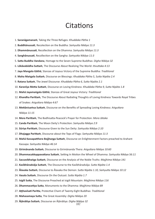## **Citations**

- 1. **Saranāgamanaṁ**, Taking *the* Three Refuges: *Khuddaka Pātha 1*
- 2. **Buddhānussati**, Recolection on the Buddha: *Saṁyutta Nikāya 11:3*
- 3. **Dhammānussati**, Recollection on the Dhamma: *Saṁyutta Nikāya 11:3*
- 4. **Sanghānussati**, Recollection on the Sangha: *Saṁyutta Nikāya 11:3*
- 5. **Satta Buddha Vandana**, Homage to the Seven Supreme Buddhas: *Digha Nikāya 32*
- 6. **Lōkāvabōdha Suttaṁ**, The Discourse About Realizing The World: *Itivuttaka 4:13*
- 7. **Jaya Mangala Gāthā**, Stanzas of Joyous Victory of the Supreme Buddha: *Traditional*
- 8. **Maha Maṅgala Suttaṁ**, Discourse on Blessings: *Khuddaka Pātha 5, Sutta Nipāta 2.4*
- 9. **Ratana Suttaṁ**, The Jewel Discourse: *Khuddaka Pātha 6, Sutta Nipāta 2.1*
- 10. **Karanīya Metta Suttaṁ**, Discourse on Loving Kindness: *Khuddaka Pātha 9, Sutta Nipāta 1.8*
- 11. **Mahā Jayamaṅgala Gāthā**, Stanzas of Great Joyous Victory: *Traditional*
- 12. **Khandha Parittaṁ**, The Discourse About Radiating Thoughts of Loving Kindness Towards Royal Tribes of Snakes: *Aṅguttara Nikāya 4:67*
- 13. **Mettānisaṁsa Suttaṁ**, Discourse on the Benefits of Spreading Loving Kindness: *Aṅguttara Nikāya 11:15*
- 14. **Mora Parittaṁ**, The Bodhisatta-Peacock's Prayer for Protection: *Mora Jātaka*
- 15. **Canda Parittaṁ**, The Moon Deity's Protection: *Saṁyutta Nikāya 2:9*
- 16. **Sūriya Parittaṁ**, Discourse Given to the Sun Deity: *Saṁyutta Nikāya 2:10*
- 17. **Dhajagga Parittaṁ**, Discourse about the Tops of Flags: *Saṁyutta Nikāya 11:3*
- 18. **Mahā Kassapatthera Bojjhaṇga Suttaṁ**, Discourse on Enlightenment Factors preached to Arahant Kassapa: *Saṁyutta Nikāya 46:14*
- 19. **Girimānanda Suttaṁ**, Discourse to Girimānanda Thera: *Aṅguttara Nikāya 10:60*
- 20. **Dhammacakkappavattana Suttaṁ**, Setting In Motion the Wheel of Dhamma: *Saṁyutta Nikāya 56:11*
- 21. **Saccavibhaṅga Suttaṁ**, Discourse on the Analysis of the Noble Truths: *Majjhima Nikāya 141*
- 22. **Kasībhāradvāja Suttaṁ**, The Discourse to the Kasībhāradvāja: *Sutta Nipāta 1.4*
- 23. **Ālavaka Suttaṁ**, Discourse to Ālavaka the Demon: *Sutta Nipāta 1.10, Saṁyutta Nikāya 10:12*
- 24. **Vasala Suttaṁ**, Discourse On the Outcast: *Sutta Nipāta 1.7*
- 25. **Isigili Sutta**, The Discourse Preached at Isigili Mountain: *Majjhima Nikāya 116*
- 26. **Dhammacetiya Sutta**, Monuments to the Dhamma: *Majjhima Nikāya 89*
- 27. **Aṭṭhavīsati Paritta**, Protective Chant of Twenty-Eight Buddhas: *Traditional*
- 28. **Mahasamaya Sutta**, The Great Assembly: *Digha Nikāya 20*
- 29. **Āṭānātiya Suttaṁ**, Discourse on Āṭānātiya: *Digha Nikāya 32*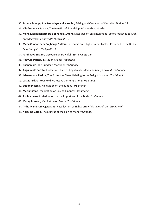- 30. **Paṭicca Samuppāda Samudayo and Nirodho**, Arising and Cessation of Causality: *Udāna 1.3*
- 31. **Mittānisaṁsa Suttaṁ**, The Benefits of Friendship: *Mugapakkha Jātaka*
- 32. **Mahā Moggallānatthera Bojjhaṇga Suttaṁ**, Discourse on Enlightenment Factors Preached to Arahant Moggallāna: *Saṁyutta Nikāya 46:15*
- 33. **Mahā Cundatthera Bojjhaṇga Suttaṁ**, Discourse on Enlightenment Factors Preached to the Blessed One: *Saṁyutta Nikāya 46:16*
- 34. **Parābhava Suttaṁ**, Discourse on Downfall: *Sutta Nipāta 1.6*
- 35. **Anavum Paritta**, Invitation Chant: *Traditional*
- 36. **Jinapañjara**, The Buddha's Mansion: *Traditional*
- 37. **Aṅgulimāla Paritta**, Protective Chant of Aṅgulimala: *Majjhima Nikāya 86 and Traditional*
- 38. **Jalanandana Paritta**, The Protective Chant Relating to the Delight in Water: *Traditional*
- 39. **Caturarakkha**, Four Fold Protective Contemplations: *Traditional*
- 40. **Buddhānussati**, Meditation on the Buddha: *Traditional*
- 41. **Mettānussati**, Meditation on Loving Kindness: *Traditional*
- 42. **Asubhanussati**, Meditation on the Impurities of the Body: *Traditional*
- 43. **Maraṇānussati**, Meditation on Death: *Traditional*
- 44. **Aṭṭha Mahā Saṁvegavatthu**, Recollection of Eight Sorrowful Stages of Life: *Traditional*
- 45. **Narasīha Gāthā**, The Stanzas of the Lion of Men: *Traditional*